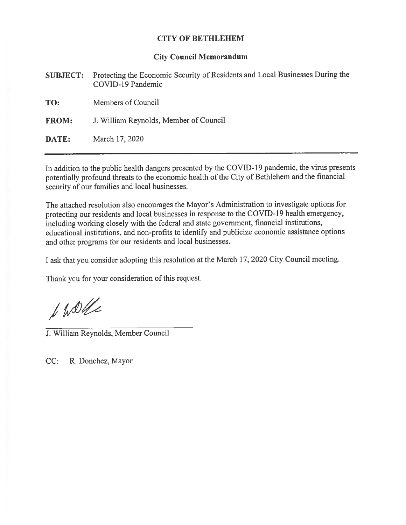# CITY OF BETHLEHEM

### City Council Memorandum

|              | <b>SUBJECT:</b> Protecting the Economic Security of Residents and Local Businesses During the<br>COVID-19 Pandemic |
|--------------|--------------------------------------------------------------------------------------------------------------------|
| TO:          | Members of Council                                                                                                 |
| <b>FROM:</b> | J. William Reynolds, Member of Council                                                                             |
| DATE:        | March 17, 2020                                                                                                     |

In addition to the public health dangers presented by the COVID-19 pandemic, the virus presents potentially profound threats to the economic health of the City of Bethlehem and the financial security of our families and local businesses.

The attached resolution also encourages the Mayor's Administration to investigate options for protecting our residents and local businesses in response to the COVID-19 health emergency, including working closely with the federal and state government, financial institutions, educational institutions, and non-profits to identify and publicize economic assistance options and other programs for our residents and local businesses.

<sup>I</sup> ask that you consider adopting this resolution at the March 17, <sup>2020</sup> City Council meeting.

Thank you for your consideration of this request.

f WDde

J. William Reynolds, Member Council

CC: R. Donchez, Mayor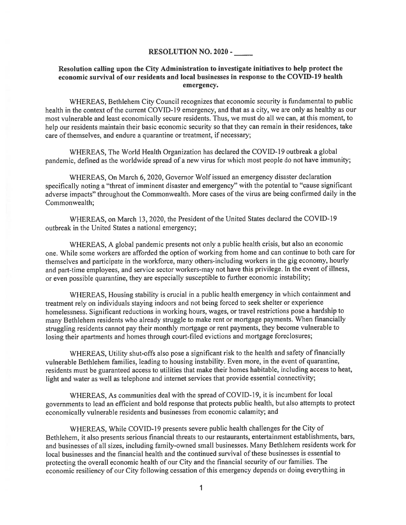#### RESOLUTION NO. 2020 -

## Resolution calling upon the City Administration to investigate initiatives to help protect the economic survival of our residents and local businesses in response to the COVID-19 health emergency.

WHEREAS, Bethlehem City Council recognizes that economic security is fundamental to public health in the context of the current COVID-19 emergency, and that as a city, we are only as healthy as our most vulnerable and least economically secure residents. Thus, we must do all we can, at this moment, to help our residents maintain their basic economic security so that they can remain in their residences, take care of themselves, and endure <sup>a</sup> quarantine or treatment, if necessary;

WHEREAS, The World Health Organization has declared the COVID-19 outbreak <sup>a</sup> global pandemic, defined as the worldwide sprea<sup>d</sup> of <sup>a</sup> new virus for which most people do not have immunity;

WHEREAS, On March 6, 2020, Governor Wolf issued an emergency disaster declaration specifically noting <sup>a</sup> "threat of imminent disaster and emergency" with the potential to "cause significant adverse impacts" throughout the Commonwealth. More cases of the virus are being confirmed daily in the Commonwealth;

WHEREAS, on March 13, 2020, the President of the United States declared the COVID-19 outbreak in the United States <sup>a</sup> national emergency;

WHEREAS, <sup>A</sup> <sup>g</sup>lobal pandemic presents not only <sup>a</sup> public health crisis, but also an economic one. While some workers are afforded the option of working from home and can continue to both care for themselves and participate in the workforce, many others-including workers in the <sup>g</sup>ig economy, hourly and part-time employees, and service sector workers-may not have this privilege. In the event of illness, or even possible quarantine, they are especially susceptible to further economic instability;

WHEREAS, Housing stability is crucial in <sup>a</sup> public health emergency in which containment and treatment rely on individuals staying indoors and not being forced to seek shelter or experience homelessness. Significant reductions in working hours, wages, or travel restrictions pose <sup>a</sup> hardship to many Bethlehem residents who already struggle to make rent or mortgage payments. When financially struggling residents cannot pay their monthly mortgage or rent payments, they become vulnerable to losing their apartments and homes through court-filed evictions and mortgage foreclosures;

WHEREAS, Utility shut-offs also pose <sup>a</sup> significant risk to the health and safety of financially vulnerable Bethlehem families, leading to housing instability. Even more, in the event of quarantine, residents must be guaranteed access to utilities that make their homes habitable, including access to heat, light and water as well as telephone and internet services that provide essential connectivity;

WHEREAS, As communities deal with the spread of COVID-19, it is incumbent for local governments to lead an efficient and bold response that protects public health, but also attempts to protect economically vulnerable residents and businesses from economic calamity; and

WHEREAS, While COVID-19 presents severe public health challenges for the City of Bethlehem, it also presents serious financial threats to our restaurants, entertainment establishments, bars, and businesses of all sizes, including family-owned small businesses. Many Bethlehem residents work for local businesses and the financial health and the continued survival of these businesses is essential to protecting the overall economic health of our City and the financial security of our families. The economic resiliency of our City following cessation of this emergency depends on doing everything in